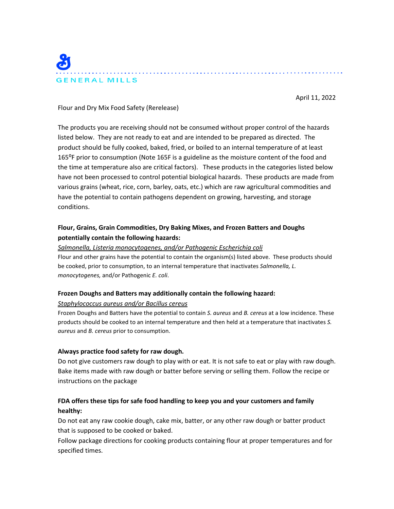

April 11, 2022

. . . . . . . . . . . . . . . . .

Flour and Dry Mix Food Safety (Rerelease)

The products you are receiving should not be consumed without proper control of the hazards listed below. They are not ready to eat and are intended to be prepared as directed. The product should be fully cooked, baked, fried, or boiled to an internal temperature of at least 165<sup>o</sup>F prior to consumption (Note 165F is a guideline as the moisture content of the food and the time at temperature also are critical factors). These products in the categories listed below have not been processed to control potential biological hazards. These products are made from various grains (wheat, rice, corn, barley, oats, etc.) which are raw agricultural commodities and have the potential to contain pathogens dependent on growing, harvesting, and storage conditions.

## **Flour, Grains, Grain Commodities, Dry Baking Mixes, and Frozen Batters and Doughs potentially contain the following hazards:**

#### *Salmonella, Listeria monocytogenes, and/or Pathogenic Escherichia coli*

Flour and other grains have the potential to contain the organism(s) listed above. These products should be cooked, prior to consumption, to an internal temperature that inactivates *Salmonella, L. monocytogenes,* and/or Pathogenic *E. coli*.

#### **Frozen Doughs and Batters may additionally contain the following hazard:**

#### *Staphylococcus aureus and/or Bacillus cereus*

Frozen Doughs and Batters have the potential to contain *S. aureus* and *B. cereus* at a low incidence. These products should be cooked to an internal temperature and then held at a temperature that inactivates *S. aureus* and *B. cereus* prior to consumption.

#### **Always practice food safety for raw dough.**

Do not give customers raw dough to play with or eat. It is not safe to eat or play with raw dough. Bake items made with raw dough or batter before serving or selling them. Follow the recipe or instructions on the package

# **FDA offers these tips for safe food handling to keep you and your customers and family healthy:**

Do not eat any raw cookie dough, cake mix, batter, or any other raw dough or batter product that is supposed to be cooked or baked.

Follow package directions for cooking products containing flour at proper temperatures and for specified times.